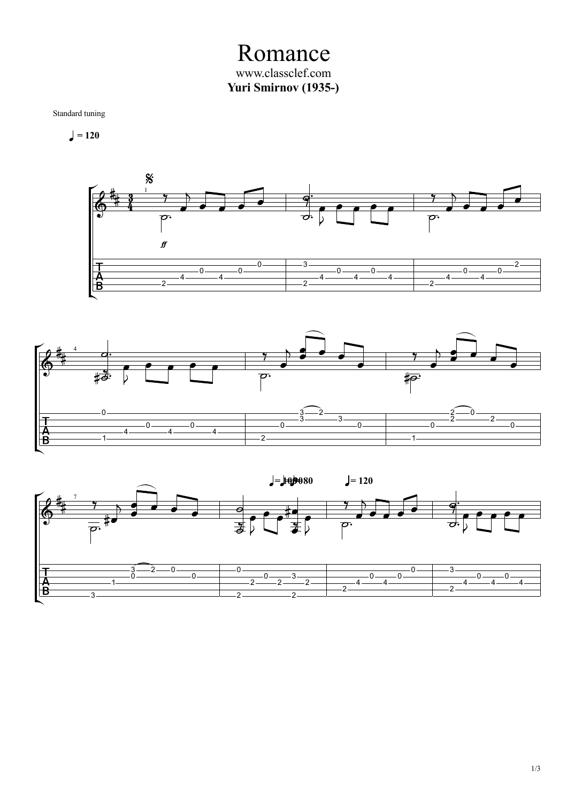Romance www.classclef.com **Yuri Smirnov (1935-)**

Standard tuning

 $= 120$ 





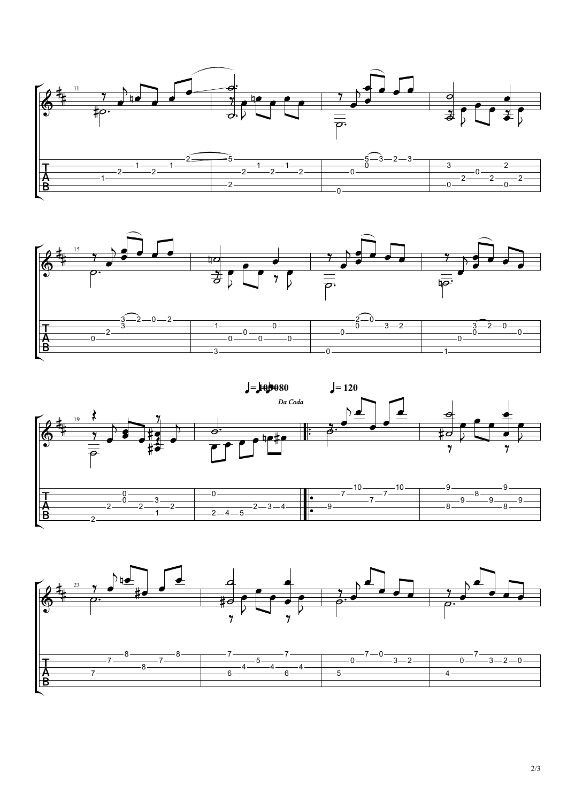